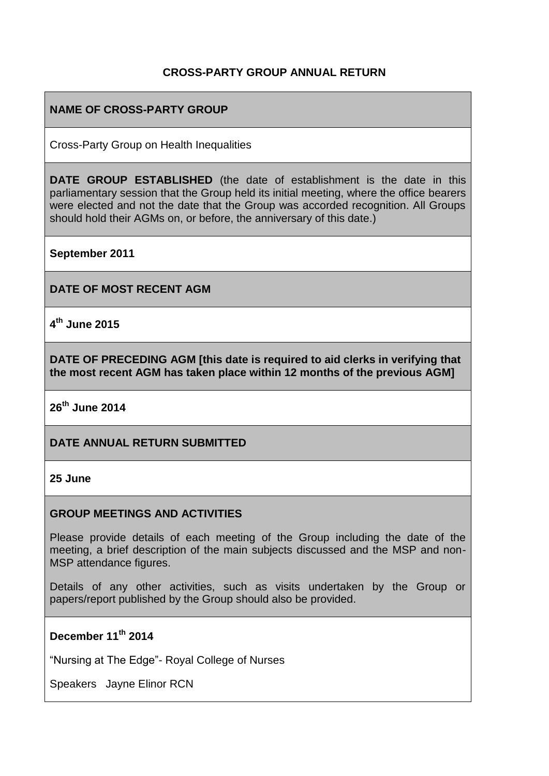## **CROSS-PARTY GROUP ANNUAL RETURN**

## **NAME OF CROSS-PARTY GROUP**

Cross-Party Group on Health Inequalities

**DATE GROUP ESTABLISHED** (the date of establishment is the date in this parliamentary session that the Group held its initial meeting, where the office bearers were elected and not the date that the Group was accorded recognition. All Groups should hold their AGMs on, or before, the anniversary of this date.)

**September 2011**

**DATE OF MOST RECENT AGM**

**4 th June 2015**

**DATE OF PRECEDING AGM [this date is required to aid clerks in verifying that the most recent AGM has taken place within 12 months of the previous AGM]**

**26th June 2014**

#### **DATE ANNUAL RETURN SUBMITTED**

**25 June** 

#### **GROUP MEETINGS AND ACTIVITIES**

Please provide details of each meeting of the Group including the date of the meeting, a brief description of the main subjects discussed and the MSP and non-MSP attendance figures.

Details of any other activities, such as visits undertaken by the Group or papers/report published by the Group should also be provided.

## **December 11th 2014**

"Nursing at The Edge"- Royal College of Nurses

Speakers Jayne Elinor RCN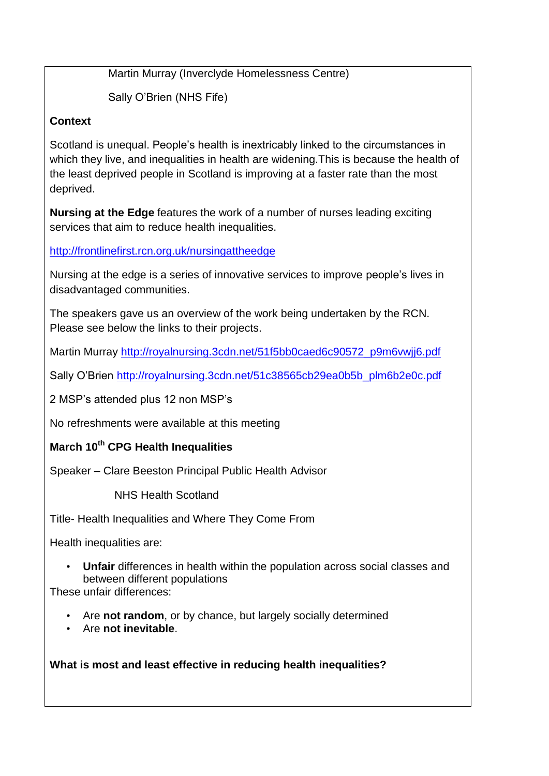Martin Murray (Inverclyde Homelessness Centre)

Sally O'Brien (NHS Fife)

## **Context**

Scotland is unequal. People's health is inextricably linked to the circumstances in which they live, and inequalities in health are widening. This is because the health of the least deprived people in Scotland is improving at a faster rate than the most deprived.

**Nursing at the Edge** features the work of a number of nurses leading exciting services that aim to reduce health inequalities.

<http://frontlinefirst.rcn.org.uk/nursingattheedge>

Nursing at the edge is a series of innovative services to improve people's lives in disadvantaged communities.

The speakers gave us an overview of the work being undertaken by the RCN. Please see below the links to their projects.

Martin Murray [http://royalnursing.3cdn.net/51f5bb0caed6c90572\\_p9m6vwjj6.pdf](http://royalnursing.3cdn.net/51f5bb0caed6c90572_p9m6vwjj6.pdf)

Sally O'Brien [http://royalnursing.3cdn.net/51c38565cb29ea0b5b\\_plm6b2e0c.pdf](http://royalnursing.3cdn.net/51c38565cb29ea0b5b_plm6b2e0c.pdf)

2 MSP's attended plus 12 non MSP's

No refreshments were available at this meeting

# **March 10th CPG Health Inequalities**

Speaker – Clare Beeston Principal Public Health Advisor

NHS Health Scotland

Title- Health Inequalities and Where They Come From

Health inequalities are:

• **Unfair** differences in health within the population across social classes and between different populations

These unfair differences:

- Are **not random**, or by chance, but largely socially determined
- Are **not inevitable**.

**What is most and least effective in reducing health inequalities?**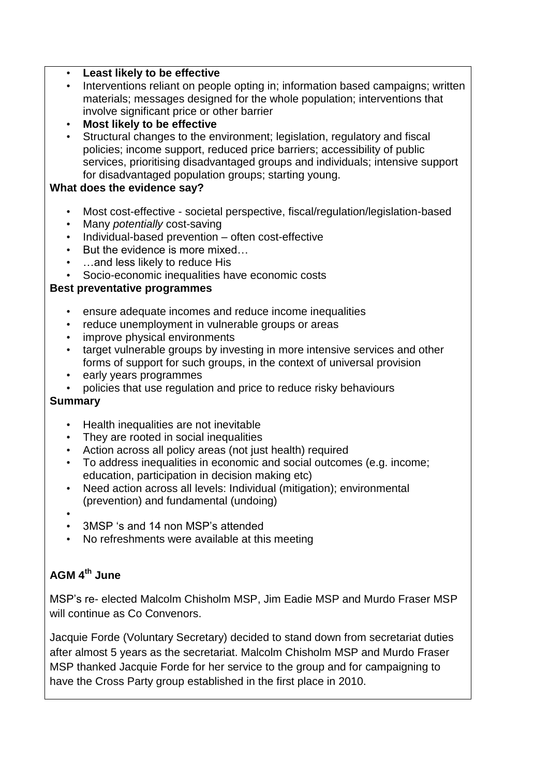## • **Least likely to be effective**

- Interventions reliant on people opting in; information based campaigns; written materials; messages designed for the whole population; interventions that involve significant price or other barrier
- **Most likely to be effective**
- Structural changes to the environment: legislation, regulatory and fiscal policies; income support, reduced price barriers; accessibility of public services, prioritising disadvantaged groups and individuals; intensive support for disadvantaged population groups; starting young.

#### **What does the evidence say?**

- Most cost-effective societal perspective, fiscal/regulation/legislation-based
- Many *potentially* cost-saving
- Individual-based prevention often cost-effective
- But the evidence is more mixed…
- …and less likely to reduce His
- Socio-economic inequalities have economic costs

## **Best preventative programmes**

- ensure adequate incomes and reduce income inequalities
- reduce unemployment in vulnerable groups or areas
- improve physical environments
- target vulnerable groups by investing in more intensive services and other forms of support for such groups, in the context of universal provision
- early years programmes
- policies that use regulation and price to reduce risky behaviours

#### **Summary**

- Health inequalities are not inevitable
- They are rooted in social inequalities
- Action across all policy areas (not just health) required
- To address inequalities in economic and social outcomes (e.g. income; education, participation in decision making etc)
- Need action across all levels: Individual (mitigation); environmental (prevention) and fundamental (undoing)
- •
- 3MSP 's and 14 non MSP's attended
- No refreshments were available at this meeting

## **AGM 4th June**

MSP's re- elected Malcolm Chisholm MSP, Jim Eadie MSP and Murdo Fraser MSP will continue as Co Convenors.

Jacquie Forde (Voluntary Secretary) decided to stand down from secretariat duties after almost 5 years as the secretariat. Malcolm Chisholm MSP and Murdo Fraser MSP thanked Jacquie Forde for her service to the group and for campaigning to have the Cross Party group established in the first place in 2010.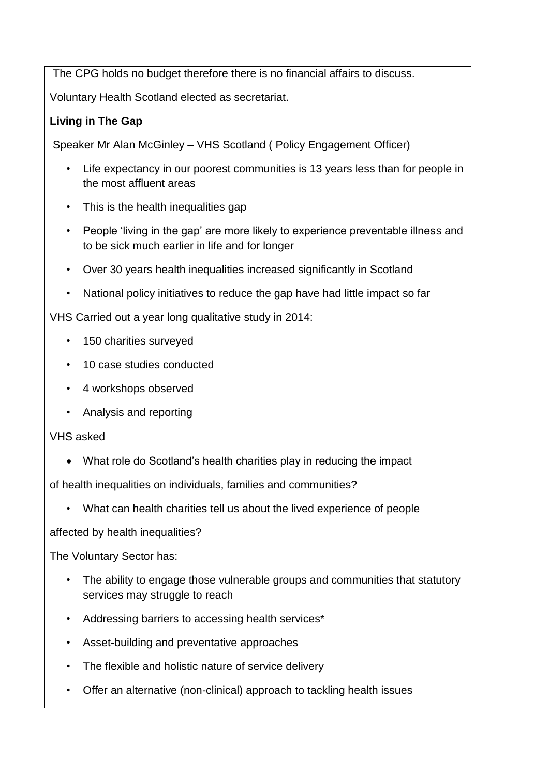The CPG holds no budget therefore there is no financial affairs to discuss.

Voluntary Health Scotland elected as secretariat.

## **Living in The Gap**

Speaker Mr Alan McGinley – VHS Scotland ( Policy Engagement Officer)

- Life expectancy in our poorest communities is 13 years less than for people in the most affluent areas
- This is the health inequalities gap
- People 'living in the gap' are more likely to experience preventable illness and to be sick much earlier in life and for longer
- Over 30 years health inequalities increased significantly in Scotland
- National policy initiatives to reduce the gap have had little impact so far

VHS Carried out a year long qualitative study in 2014:

- 150 charities surveyed
- 10 case studies conducted
- 4 workshops observed
- Analysis and reporting

VHS asked

What role do Scotland's health charities play in reducing the impact

of health inequalities on individuals, families and communities?

• What can health charities tell us about the lived experience of people

affected by health inequalities?

The Voluntary Sector has:

- The ability to engage those vulnerable groups and communities that statutory services may struggle to reach
- Addressing barriers to accessing health services\*
- Asset-building and preventative approaches
- The flexible and holistic nature of service delivery
- Offer an alternative (non-clinical) approach to tackling health issues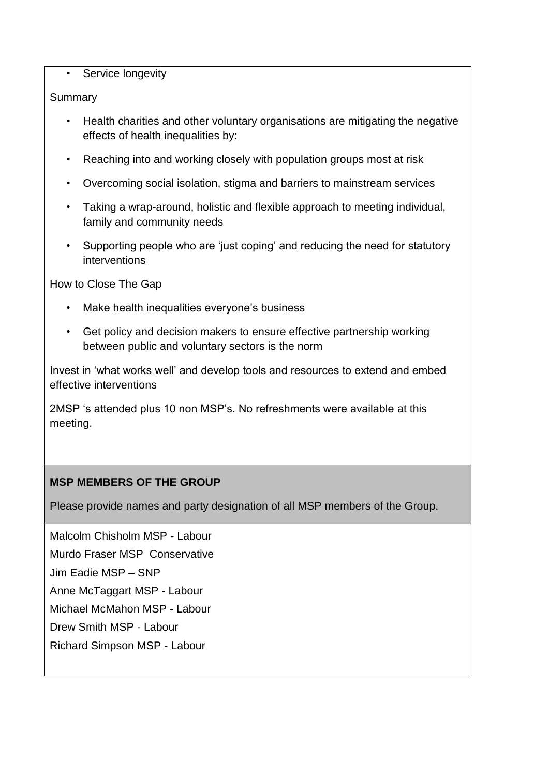#### • Service longevity

#### Summary

- Health charities and other voluntary organisations are mitigating the negative effects of health inequalities by:
- Reaching into and working closely with population groups most at risk
- Overcoming social isolation, stigma and barriers to mainstream services
- Taking a wrap-around, holistic and flexible approach to meeting individual, family and community needs
- Supporting people who are 'just coping' and reducing the need for statutory interventions

How to Close The Gap

- Make health inequalities everyone's business
- Get policy and decision makers to ensure effective partnership working between public and voluntary sectors is the norm

Invest in 'what works well' and develop tools and resources to extend and embed effective interventions

2MSP 's attended plus 10 non MSP's. No refreshments were available at this meeting.

## **MSP MEMBERS OF THE GROUP**

Please provide names and party designation of all MSP members of the Group.

Malcolm Chisholm MSP - Labour Murdo Fraser MSP Conservative Jim Eadie MSP – SNP Anne McTaggart MSP - Labour Michael McMahon MSP - Labour Drew Smith MSP - Labour Richard Simpson MSP - Labour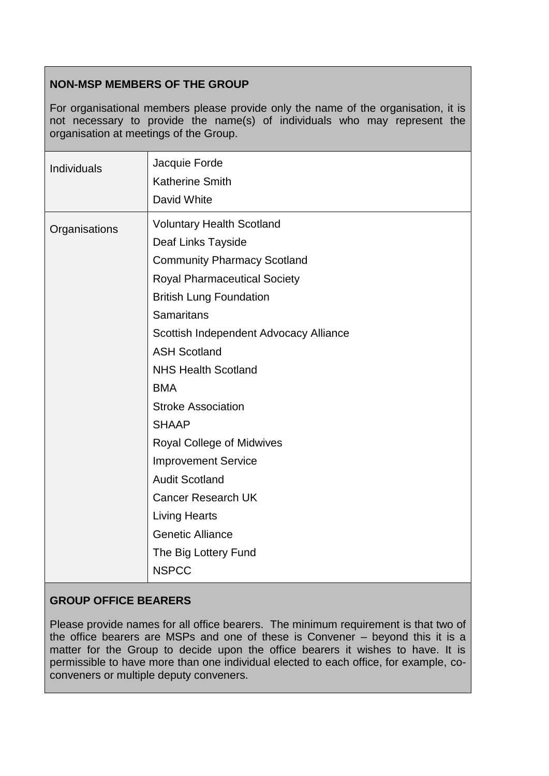## **NON-MSP MEMBERS OF THE GROUP**

For organisational members please provide only the name of the organisation, it is not necessary to provide the name(s) of individuals who may represent the organisation at meetings of the Group.

| Individuals   | Jacquie Forde<br>Katherine Smith<br>David White                                                                                                                                                                                                                                                                                                                                                                                                                                                                                                                         |
|---------------|-------------------------------------------------------------------------------------------------------------------------------------------------------------------------------------------------------------------------------------------------------------------------------------------------------------------------------------------------------------------------------------------------------------------------------------------------------------------------------------------------------------------------------------------------------------------------|
| Organisations | <b>Voluntary Health Scotland</b><br>Deaf Links Tayside<br><b>Community Pharmacy Scotland</b><br><b>Royal Pharmaceutical Society</b><br><b>British Lung Foundation</b><br><b>Samaritans</b><br>Scottish Independent Advocacy Alliance<br><b>ASH Scotland</b><br><b>NHS Health Scotland</b><br><b>BMA</b><br><b>Stroke Association</b><br><b>SHAAP</b><br><b>Royal College of Midwives</b><br><b>Improvement Service</b><br><b>Audit Scotland</b><br><b>Cancer Research UK</b><br><b>Living Hearts</b><br><b>Genetic Alliance</b><br>The Big Lottery Fund<br><b>NSPCC</b> |

## **GROUP OFFICE BEARERS**

Please provide names for all office bearers. The minimum requirement is that two of the office bearers are MSPs and one of these is Convener – beyond this it is a matter for the Group to decide upon the office bearers it wishes to have. It is permissible to have more than one individual elected to each office, for example, coconveners or multiple deputy conveners.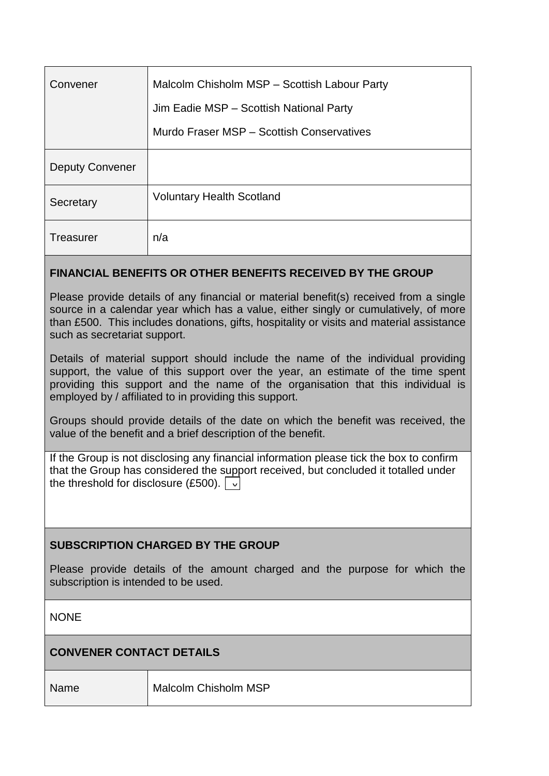| Convener               | Malcolm Chisholm MSP - Scottish Labour Party |
|------------------------|----------------------------------------------|
|                        | Jim Eadie MSP - Scottish National Party      |
|                        | Murdo Fraser MSP - Scottish Conservatives    |
| <b>Deputy Convener</b> |                                              |
| Secretary              | <b>Voluntary Health Scotland</b>             |
| Treasurer              | n/a                                          |

## **FINANCIAL BENEFITS OR OTHER BENEFITS RECEIVED BY THE GROUP**

Please provide details of any financial or material benefit(s) received from a single source in a calendar year which has a value, either singly or cumulatively, of more than £500. This includes donations, gifts, hospitality or visits and material assistance such as secretariat support.

Details of material support should include the name of the individual providing support, the value of this support over the year, an estimate of the time spent providing this support and the name of the organisation that this individual is employed by / affiliated to in providing this support.

Groups should provide details of the date on which the benefit was received, the value of the benefit and a brief description of the benefit.

If the Group is not disclosing any financial information please tick the box to confirm that the Group has considered the support received, but concluded it totalled under the threshold for disclosure (£500).  $\boxed{\cdot}$ 

## **SUBSCRIPTION CHARGED BY THE GROUP**

Please provide details of the amount charged and the purpose for which the subscription is intended to be used.

**NONE** 

## **CONVENER CONTACT DETAILS**

Name Malcolm Chisholm MSP